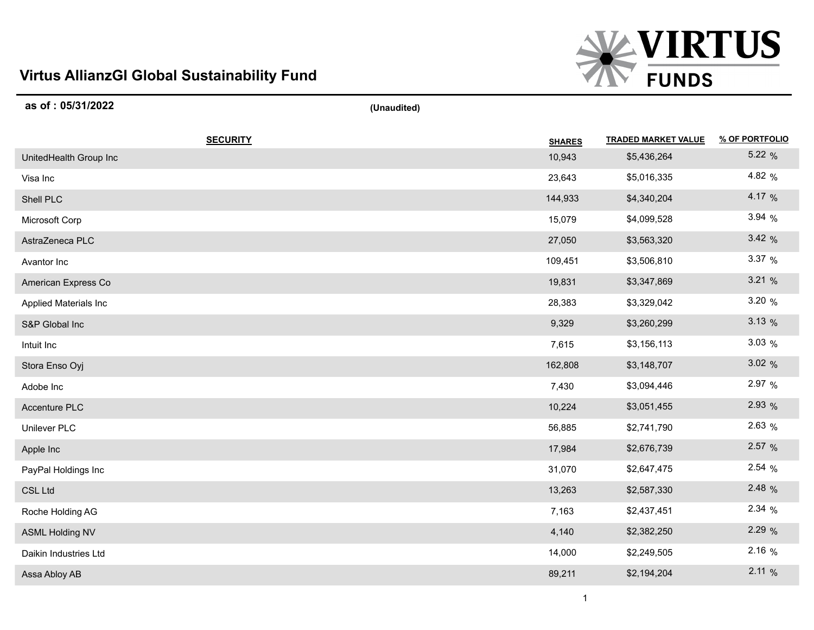## **Virtus AllianzGI Global Sustainability Fund**



| as of: 05/31/2022      | (Unaudited)   |                            |                |
|------------------------|---------------|----------------------------|----------------|
| <b>SECURITY</b>        | <b>SHARES</b> | <b>TRADED MARKET VALUE</b> | % OF PORTFOLIO |
| UnitedHealth Group Inc | 10,943        | \$5,436,264                | 5.22 %         |
| Visa Inc               | 23,643        | \$5,016,335                | 4.82 %         |
| Shell PLC              | 144,933       | \$4,340,204                | 4.17 %         |
| Microsoft Corp         | 15,079        | \$4,099,528                | 3.94%          |
| AstraZeneca PLC        | 27,050        | \$3,563,320                | 3.42%          |
| Avantor Inc            | 109,451       | \$3,506,810                | 3.37 %         |
| American Express Co    | 19,831        | \$3,347,869                | 3.21%          |
| Applied Materials Inc  | 28,383        | \$3,329,042                | 3.20 %         |
| S&P Global Inc         | 9,329         | \$3,260,299                | 3.13%          |
| Intuit Inc             | 7,615         | \$3,156,113                | 3.03%          |
| Stora Enso Oyj         | 162,808       | \$3,148,707                | 3.02%          |
| Adobe Inc              | 7,430         | \$3,094,446                | 2.97 %         |
| Accenture PLC          | 10,224        | \$3,051,455                | 2.93 %         |
| Unilever PLC           | 56,885        | \$2,741,790                | 2.63 %         |
| Apple Inc              | 17,984        | \$2,676,739                | 2.57 %         |
| PayPal Holdings Inc    | 31,070        | \$2,647,475                | 2.54%          |
| <b>CSL Ltd</b>         | 13,263        | \$2,587,330                | 2.48 %         |
| Roche Holding AG       | 7,163         | \$2,437,451                | 2.34%          |
| <b>ASML Holding NV</b> | 4,140         | \$2,382,250                | 2.29 %         |
| Daikin Industries Ltd  | 14,000        | \$2,249,505                | 2.16%          |
| Assa Abloy AB          | 89,211        | \$2,194,204                | 2.11%          |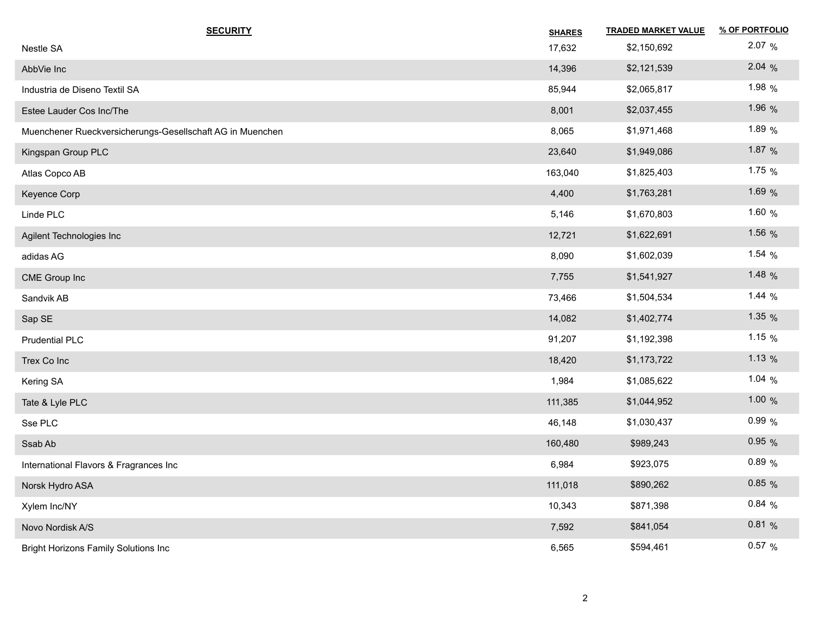| <b>SECURITY</b>                                           | <b>SHARES</b> | <b>TRADED MARKET VALUE</b> | % OF PORTFOLIO |
|-----------------------------------------------------------|---------------|----------------------------|----------------|
| Nestle SA                                                 | 17,632        | \$2,150,692                | 2.07%          |
| AbbVie Inc                                                | 14,396        | \$2,121,539                | 2.04%          |
| Industria de Diseno Textil SA                             | 85,944        | \$2,065,817                | 1.98 %         |
| Estee Lauder Cos Inc/The                                  | 8,001         | \$2,037,455                | 1.96 %         |
| Muenchener Rueckversicherungs-Gesellschaft AG in Muenchen | 8,065         | \$1,971,468                | 1.89 %         |
| Kingspan Group PLC                                        | 23,640        | \$1,949,086                | 1.87 $%$       |
| Atlas Copco AB                                            | 163,040       | \$1,825,403                | 1.75 $%$       |
| Keyence Corp                                              | 4,400         | \$1,763,281                | 1.69 %         |
| Linde PLC                                                 | 5,146         | \$1,670,803                | 1.60 %         |
| Agilent Technologies Inc                                  | 12,721        | \$1,622,691                | 1.56 $%$       |
| adidas AG                                                 | 8,090         | \$1,602,039                | 1.54 $%$       |
| CME Group Inc                                             | 7,755         | \$1,541,927                | 1.48 $%$       |
| Sandvik AB                                                | 73,466        | \$1,504,534                | 1.44 $%$       |
| Sap SE                                                    | 14,082        | \$1,402,774                | 1.35 $%$       |
| Prudential PLC                                            | 91,207        | \$1,192,398                | 1.15 $%$       |
| Trex Co Inc                                               | 18,420        | \$1,173,722                | 1.13 $%$       |
| Kering SA                                                 | 1,984         | \$1,085,622                | 1.04 $%$       |
| Tate & Lyle PLC                                           | 111,385       | \$1,044,952                | 1.00 $%$       |
| Sse PLC                                                   | 46,148        | \$1,030,437                | 0.99%          |
| Ssab Ab                                                   | 160,480       | \$989,243                  | 0.95%          |
| International Flavors & Fragrances Inc                    | 6,984         | \$923,075                  | 0.89%          |
| Norsk Hydro ASA                                           | 111,018       | \$890,262                  | 0.85%          |
| Xylem Inc/NY                                              | 10,343        | \$871,398                  | 0.84%          |
| Novo Nordisk A/S                                          | 7,592         | \$841,054                  | 0.81%          |
| <b>Bright Horizons Family Solutions Inc</b>               | 6,565         | \$594,461                  | 0.57 %         |